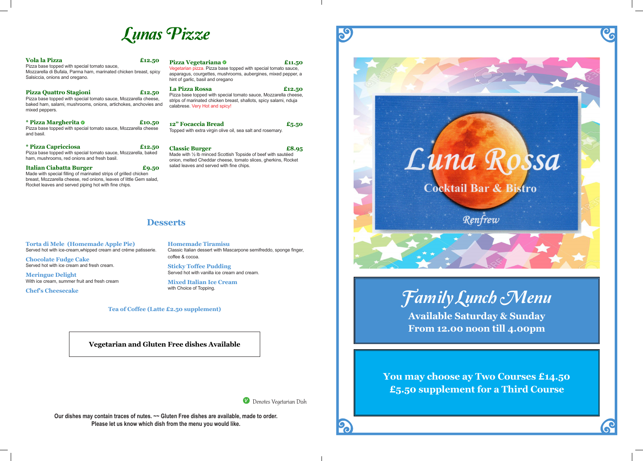

Denotes Vegetarian Dish

2

**Our dishes may contain traces of nutes. ~~ Gluten Free dishes are available, made to order. Please let us know which dish from the menu you would like.**

**Meringue Delight**  With ice cream, summer fruit and fresh cream

# 59

# **Desserts**

**Torta di Mele (Homemade Apple Pie)**  Served hot with ice-cream,whipped cream and créme patisserie.

**Chocolate Fudge Cake**  Served hot with ice cream and fresh cream.

**Chef's Cheesecake**

**Homemade Tiramisu** Classic Italian dessert with Mascarpone semifreddo, sponge finger, coffee & cocoa.

**Sticky Toffee Pudding**  Served hot with vanilla ice cream and cream.

**Mixed Italian Ice Cream**  with Choice of Topping.

**Vegetarian and Gluten Free dishes Available**

### **Tea of Coffee (Latte £2.50 supplement)**



**La Pizza Rossa £12.50** ith special tomato sauce, Mozzarella cheese, hicken breast, shallots, spicy salami, nduja and spicy!

**Classic Burger £8.95** ed Scottish Topside of beef with sautéed lar cheese, tomato slices, gherkins, Rocket ved with fine chips.

| <b>Vola la Pizza</b><br>£12.50<br>Pizza base topped with special tomato sauce,<br>Mozzarella di Bufala, Parma ham, marinated chicken breast, spicy<br>Salsiccia, onions and oregano.     | Pizza Vegetaria<br>Vegetarian pizza. Piz<br>asparagus, courgette<br>hint of garlic, basil an             |
|------------------------------------------------------------------------------------------------------------------------------------------------------------------------------------------|----------------------------------------------------------------------------------------------------------|
| Pizza Quattro Stagioni<br>£12.50<br>Pizza base topped with special tomato sauce, Mozzarella cheese,<br>baked ham, salami, mushrooms, onions, artichokes, anchovies and<br>mixed peppers. | La Pizza Rossa<br>Pizza base topped w<br>strips of marinated ch<br>calabrese. Very Hot a                 |
| * Pizza Margherita 0<br>£10.50<br>Pizza base topped with special tomato sauce, Mozzarella cheese<br>and basil.                                                                           | 12" Focaccia Bı<br>Topped with extra vir                                                                 |
| <i>*</i> Pizza Capricciosa<br>£12.50<br>Pizza base topped with special tomato sauce, Mozzarella, baked<br>ham, mushrooms, red onions and fresh basil.                                    | <b>Classic Burger</b><br>Made with $\frac{1}{2}$ lb mince<br>onion, melted Chedd<br>salad leaves and ser |
| Italian Ciabatta Burger<br>£9.50<br>Made with appealal filling of marinated etripe of arillad objekan                                                                                    |                                                                                                          |

Made with special filling of marinated strips of grilled chicken breast, Mozzarella cheese, red onions, leaves of little Gem salad, Rocket leaves and served piping hot with fine chips.

### **Pizza Vegetariana Channel Contract Contract Channel Contract Channel Contract Channel Channel Channel Channel Channel Channel Channel Channel Channel Channel Channel Channel Channel Channel Channel Channel Channel Channel** zza base topped with special tomato sauce, es, mushrooms, aubergines, mixed pepper, a id oregano

| 12" Focaccia Bread                                         | £5.50 |
|------------------------------------------------------------|-------|
| Topped with extra virgin olive oil, sea salt and rosemary. |       |